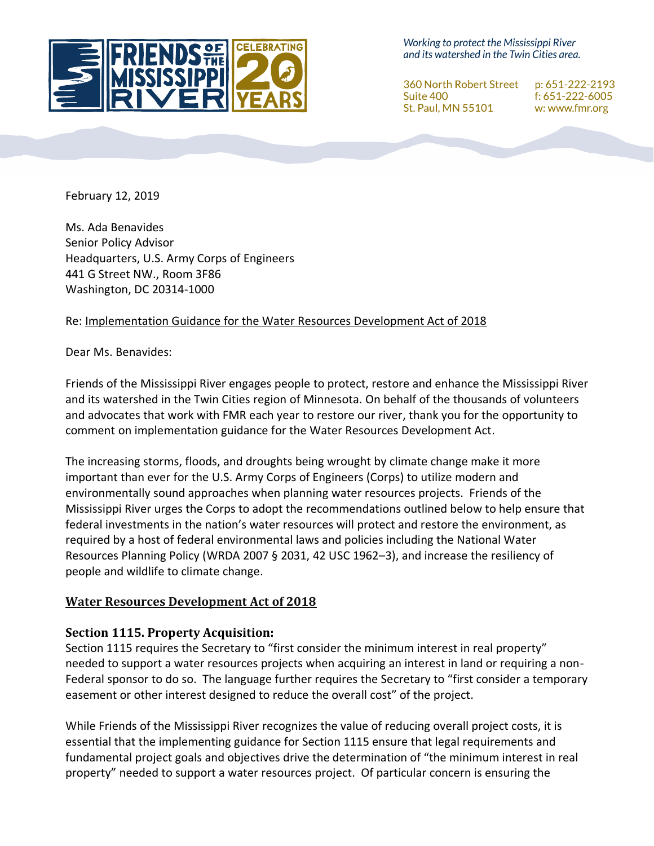

Working to protect the Mississippi River and its watershed in the Twin Cities area.

360 North Robert Street p: 651-222-2193 Suite 400 f: 651-222-6005 St. Paul, MN 55101 w: www.fmr.org

February 12, 2019

Ms. Ada Benavides Senior Policy Advisor Headquarters, U.S. Army Corps of Engineers 441 G Street NW., Room 3F86 Washington, DC 20314-1000

### Re: Implementation Guidance for the Water Resources Development Act of 2018

Dear Ms. Benavides:

Friends of the Mississippi River engages people to protect, restore and enhance the Mississippi River and its watershed in the Twin Cities region of Minnesota. On behalf of the thousands of volunteers and advocates that work with FMR each year to restore our river, thank you for the opportunity to comment on implementation guidance for the Water Resources Development Act.

The increasing storms, floods, and droughts being wrought by climate change make it more important than ever for the U.S. Army Corps of Engineers (Corps) to utilize modern and environmentally sound approaches when planning water resources projects. Friends of the Mississippi River urges the Corps to adopt the recommendations outlined below to help ensure that federal investments in the nation's water resources will protect and restore the environment, as required by a host of federal environmental laws and policies including the National Water Resources Planning Policy (WRDA 2007 § 2031, 42 USC 1962–3), and increase the resiliency of people and wildlife to climate change.

### **Water Resources Development Act of 2018**

### **Section 1115. Property Acquisition:**

Section 1115 requires the Secretary to "first consider the minimum interest in real property" needed to support a water resources projects when acquiring an interest in land or requiring a non-Federal sponsor to do so. The language further requires the Secretary to "first consider a temporary easement or other interest designed to reduce the overall cost" of the project.

While Friends of the Mississippi River recognizes the value of reducing overall project costs, it is essential that the implementing guidance for Section 1115 ensure that legal requirements and fundamental project goals and objectives drive the determination of "the minimum interest in real property" needed to support a water resources project. Of particular concern is ensuring the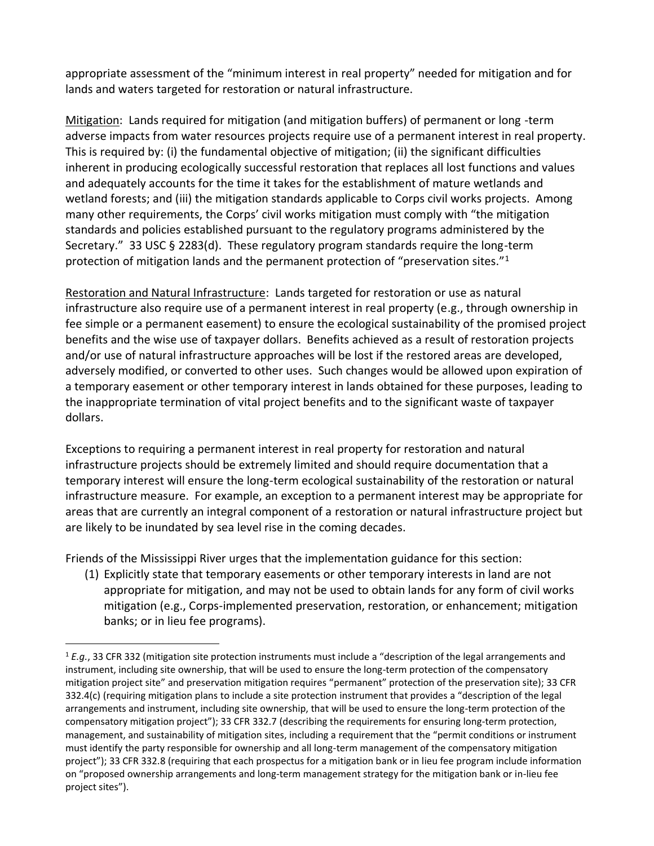appropriate assessment of the "minimum interest in real property" needed for mitigation and for lands and waters targeted for restoration or natural infrastructure.

Mitigation: Lands required for mitigation (and mitigation buffers) of permanent or long -term adverse impacts from water resources projects require use of a permanent interest in real property. This is required by: (i) the fundamental objective of mitigation; (ii) the significant difficulties inherent in producing ecologically successful restoration that replaces all lost functions and values and adequately accounts for the time it takes for the establishment of mature wetlands and wetland forests; and (iii) the mitigation standards applicable to Corps civil works projects. Among many other requirements, the Corps' civil works mitigation must comply with "the mitigation standards and policies established pursuant to the regulatory programs administered by the Secretary." 33 USC § 2283(d). These regulatory program standards require the long-term protection of mitigation lands and the permanent protection of "preservation sites."<sup>1</sup>

Restoration and Natural Infrastructure: Lands targeted for restoration or use as natural infrastructure also require use of a permanent interest in real property (e.g., through ownership in fee simple or a permanent easement) to ensure the ecological sustainability of the promised project benefits and the wise use of taxpayer dollars. Benefits achieved as a result of restoration projects and/or use of natural infrastructure approaches will be lost if the restored areas are developed, adversely modified, or converted to other uses. Such changes would be allowed upon expiration of a temporary easement or other temporary interest in lands obtained for these purposes, leading to the inappropriate termination of vital project benefits and to the significant waste of taxpayer dollars.

Exceptions to requiring a permanent interest in real property for restoration and natural infrastructure projects should be extremely limited and should require documentation that a temporary interest will ensure the long-term ecological sustainability of the restoration or natural infrastructure measure. For example, an exception to a permanent interest may be appropriate for areas that are currently an integral component of a restoration or natural infrastructure project but are likely to be inundated by sea level rise in the coming decades.

Friends of the Mississippi River urges that the implementation guidance for this section:

 $\overline{\phantom{a}}$ 

(1) Explicitly state that temporary easements or other temporary interests in land are not appropriate for mitigation, and may not be used to obtain lands for any form of civil works mitigation (e.g., Corps-implemented preservation, restoration, or enhancement; mitigation banks; or in lieu fee programs).

<sup>1</sup> *E.g.*, 33 CFR 332 (mitigation site protection instruments must include a "description of the legal arrangements and instrument, including site ownership, that will be used to ensure the long-term protection of the compensatory mitigation project site" and preservation mitigation requires "permanent" protection of the preservation site); 33 CFR 332.4(c) (requiring mitigation plans to include a site protection instrument that provides a "description of the legal arrangements and instrument, including site ownership, that will be used to ensure the long-term protection of the compensatory mitigation project"); 33 CFR 332.7 (describing the requirements for ensuring long-term protection, management, and sustainability of mitigation sites, including a requirement that the "permit conditions or instrument must identify the party responsible for ownership and all long-term management of the compensatory mitigation project"); 33 CFR 332.8 (requiring that each prospectus for a mitigation bank or in lieu fee program include information on "proposed ownership arrangements and long-term management strategy for the mitigation bank or in-lieu fee project sites").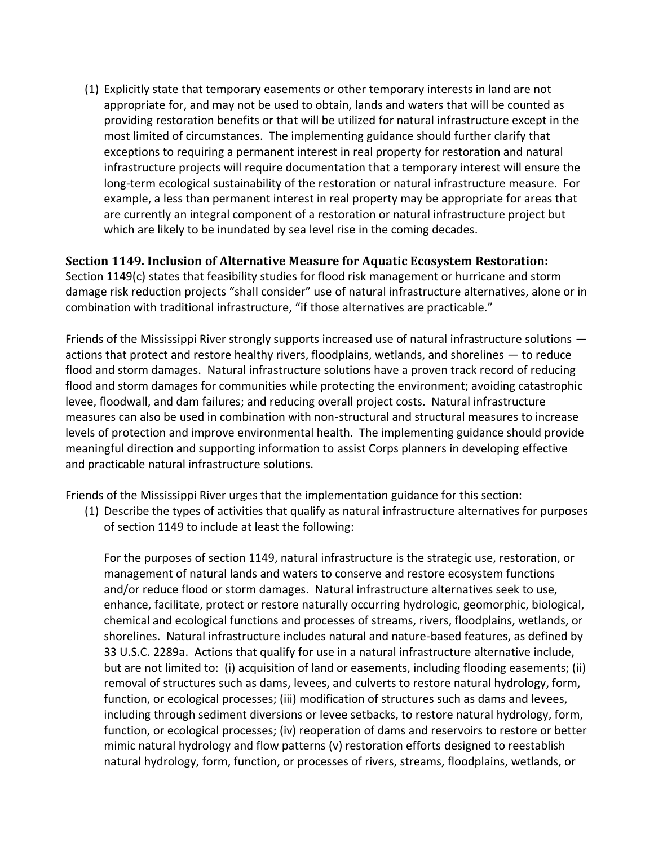(1) Explicitly state that temporary easements or other temporary interests in land are not appropriate for, and may not be used to obtain, lands and waters that will be counted as providing restoration benefits or that will be utilized for natural infrastructure except in the most limited of circumstances. The implementing guidance should further clarify that exceptions to requiring a permanent interest in real property for restoration and natural infrastructure projects will require documentation that a temporary interest will ensure the long-term ecological sustainability of the restoration or natural infrastructure measure. For example, a less than permanent interest in real property may be appropriate for areas that are currently an integral component of a restoration or natural infrastructure project but which are likely to be inundated by sea level rise in the coming decades.

### **Section 1149. Inclusion of Alternative Measure for Aquatic Ecosystem Restoration:**

Section 1149(c) states that feasibility studies for flood risk management or hurricane and storm damage risk reduction projects "shall consider" use of natural infrastructure alternatives, alone or in combination with traditional infrastructure, "if those alternatives are practicable."

Friends of the Mississippi River strongly supports increased use of natural infrastructure solutions actions that protect and restore healthy rivers, floodplains, wetlands, and shorelines — to reduce flood and storm damages. Natural infrastructure solutions have a proven track record of reducing flood and storm damages for communities while protecting the environment; avoiding catastrophic levee, floodwall, and dam failures; and reducing overall project costs. Natural infrastructure measures can also be used in combination with non-structural and structural measures to increase levels of protection and improve environmental health. The implementing guidance should provide meaningful direction and supporting information to assist Corps planners in developing effective and practicable natural infrastructure solutions.

Friends of the Mississippi River urges that the implementation guidance for this section:

(1) Describe the types of activities that qualify as natural infrastructure alternatives for purposes of section 1149 to include at least the following:

For the purposes of section 1149, natural infrastructure is the strategic use, restoration, or management of natural lands and waters to conserve and restore ecosystem functions and/or reduce flood or storm damages. Natural infrastructure alternatives seek to use, enhance, facilitate, protect or restore naturally occurring hydrologic, geomorphic, biological, chemical and ecological functions and processes of streams, rivers, floodplains, wetlands, or shorelines. Natural infrastructure includes natural and nature-based features, as defined by 33 U.S.C. 2289a. Actions that qualify for use in a natural infrastructure alternative include, but are not limited to: (i) acquisition of land or easements, including flooding easements; (ii) removal of structures such as dams, levees, and culverts to restore natural hydrology, form, function, or ecological processes; (iii) modification of structures such as dams and levees, including through sediment diversions or levee setbacks, to restore natural hydrology, form, function, or ecological processes; (iv) reoperation of dams and reservoirs to restore or better mimic natural hydrology and flow patterns (v) restoration efforts designed to reestablish natural hydrology, form, function, or processes of rivers, streams, floodplains, wetlands, or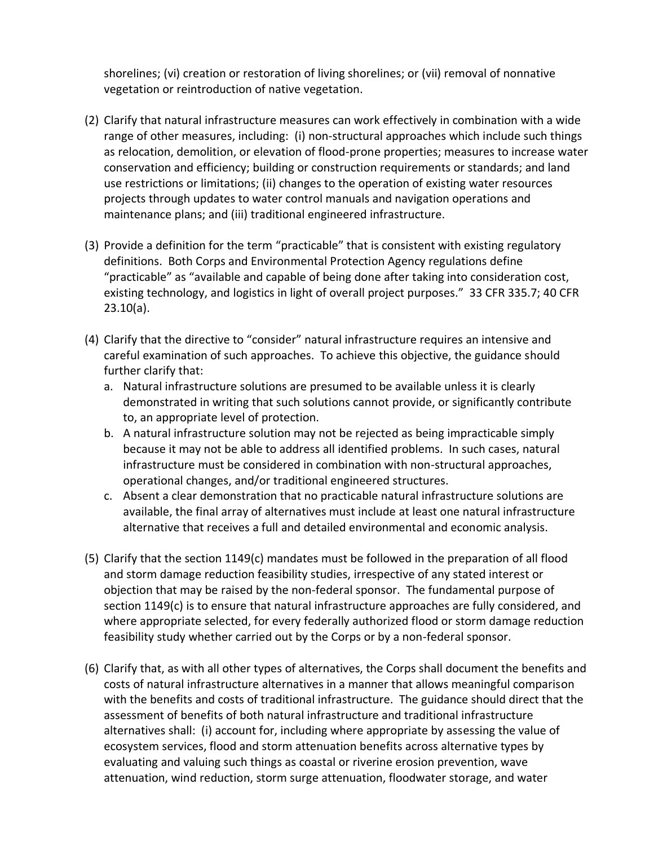shorelines; (vi) creation or restoration of living shorelines; or (vii) removal of nonnative vegetation or reintroduction of native vegetation.

- (2) Clarify that natural infrastructure measures can work effectively in combination with a wide range of other measures, including: (i) non-structural approaches which include such things as relocation, demolition, or elevation of flood-prone properties; measures to increase water conservation and efficiency; building or construction requirements or standards; and land use restrictions or limitations; (ii) changes to the operation of existing water resources projects through updates to water control manuals and navigation operations and maintenance plans; and (iii) traditional engineered infrastructure.
- (3) Provide a definition for the term "practicable" that is consistent with existing regulatory definitions. Both Corps and Environmental Protection Agency regulations define "practicable" as "available and capable of being done after taking into consideration cost, existing technology, and logistics in light of overall project purposes." 33 CFR 335.7; 40 CFR 23.10(a).
- (4) Clarify that the directive to "consider" natural infrastructure requires an intensive and careful examination of such approaches. To achieve this objective, the guidance should further clarify that:
	- a. Natural infrastructure solutions are presumed to be available unless it is clearly demonstrated in writing that such solutions cannot provide, or significantly contribute to, an appropriate level of protection.
	- b. A natural infrastructure solution may not be rejected as being impracticable simply because it may not be able to address all identified problems. In such cases, natural infrastructure must be considered in combination with non-structural approaches, operational changes, and/or traditional engineered structures.
	- c. Absent a clear demonstration that no practicable natural infrastructure solutions are available, the final array of alternatives must include at least one natural infrastructure alternative that receives a full and detailed environmental and economic analysis.
- (5) Clarify that the section 1149(c) mandates must be followed in the preparation of all flood and storm damage reduction feasibility studies, irrespective of any stated interest or objection that may be raised by the non-federal sponsor. The fundamental purpose of section 1149(c) is to ensure that natural infrastructure approaches are fully considered, and where appropriate selected, for every federally authorized flood or storm damage reduction feasibility study whether carried out by the Corps or by a non-federal sponsor.
- (6) Clarify that, as with all other types of alternatives, the Corps shall document the benefits and costs of natural infrastructure alternatives in a manner that allows meaningful comparison with the benefits and costs of traditional infrastructure. The guidance should direct that the assessment of benefits of both natural infrastructure and traditional infrastructure alternatives shall: (i) account for, including where appropriate by assessing the value of ecosystem services, flood and storm attenuation benefits across alternative types by evaluating and valuing such things as coastal or riverine erosion prevention, wave attenuation, wind reduction, storm surge attenuation, floodwater storage, and water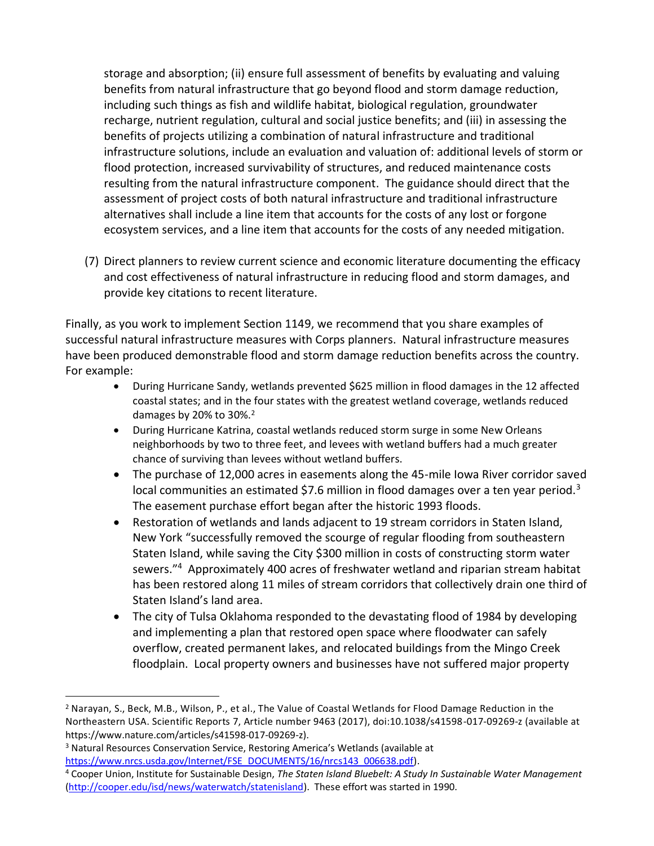storage and absorption; (ii) ensure full assessment of benefits by evaluating and valuing benefits from natural infrastructure that go beyond flood and storm damage reduction, including such things as fish and wildlife habitat, biological regulation, groundwater recharge, nutrient regulation, cultural and social justice benefits; and (iii) in assessing the benefits of projects utilizing a combination of natural infrastructure and traditional infrastructure solutions, include an evaluation and valuation of: additional levels of storm or flood protection, increased survivability of structures, and reduced maintenance costs resulting from the natural infrastructure component. The guidance should direct that the assessment of project costs of both natural infrastructure and traditional infrastructure alternatives shall include a line item that accounts for the costs of any lost or forgone ecosystem services, and a line item that accounts for the costs of any needed mitigation.

(7) Direct planners to review current science and economic literature documenting the efficacy and cost effectiveness of natural infrastructure in reducing flood and storm damages, and provide key citations to recent literature.

Finally, as you work to implement Section 1149, we recommend that you share examples of successful natural infrastructure measures with Corps planners. Natural infrastructure measures have been produced demonstrable flood and storm damage reduction benefits across the country. For example:

- During Hurricane Sandy, wetlands prevented \$625 million in flood damages in the 12 affected coastal states; and in the four states with the greatest wetland coverage, wetlands reduced damages by 20% to  $30\%$ .<sup>2</sup>
- During Hurricane Katrina, coastal wetlands reduced storm surge in some New Orleans neighborhoods by two to three feet, and levees with wetland buffers had a much greater chance of surviving than levees without wetland buffers.
- The purchase of 12,000 acres in easements along the 45-mile lowa River corridor saved local communities an estimated \$7.6 million in flood damages over a ten year period.<sup>3</sup> The easement purchase effort began after the historic 1993 floods.
- Restoration of wetlands and lands adjacent to 19 stream corridors in Staten Island, New York "successfully removed the scourge of regular flooding from southeastern Staten Island, while saving the City \$300 million in costs of constructing storm water sewers."<sup>4</sup> Approximately 400 acres of freshwater wetland and riparian stream habitat has been restored along 11 miles of stream corridors that collectively drain one third of Staten Island's land area.
- The city of Tulsa Oklahoma responded to the devastating flood of 1984 by developing and implementing a plan that restored open space where floodwater can safely overflow, created permanent lakes, and relocated buildings from the Mingo Creek floodplain. Local property owners and businesses have not suffered major property

<sup>2</sup> Narayan, S., Beck, M.B., Wilson, P., et al., The Value of Coastal Wetlands for Flood Damage Reduction in the Northeastern USA. Scientific Reports 7, Article number 9463 (2017), doi:10.1038/s41598-017-09269-z (available at https://www.nature.com/articles/s41598-017-09269-z).

<sup>3</sup> Natural Resources Conservation Service, Restoring America's Wetlands (available at [https://www.nrcs.usda.gov/Internet/FSE\\_DOCUMENTS/16/nrcs143\\_006638.pdf\)](https://www.nrcs.usda.gov/Internet/FSE_DOCUMENTS/16/nrcs143_006638.pdf).

<sup>4</sup> Cooper Union, Institute for Sustainable Design, *The Staten Island Bluebelt: A Study In Sustainable Water Management* [\(http://cooper.edu/isd/news/waterwatch/statenisland\)](http://cooper.edu/isd/news/waterwatch/statenisland). These effort was started in 1990.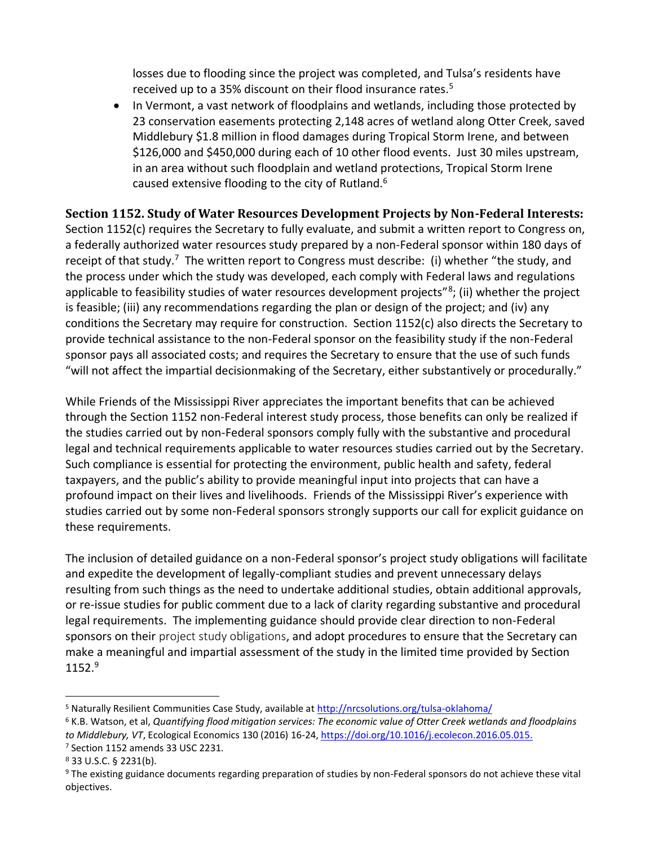losses due to flooding since the project was completed, and Tulsa's residents have received up to a 35% discount on their flood insurance rates.<sup>5</sup>

• In Vermont, a vast network of floodplains and wetlands, including those protected by 23 conservation easements protecting 2,148 acres of wetland along Otter Creek, saved Middlebury \$1.8 million in flood damages during Tropical Storm Irene, and between \$126,000 and \$450,000 during each of 10 other flood events. Just 30 miles upstream, in an area without such floodplain and wetland protections, Tropical Storm Irene caused extensive flooding to the city of Rutland.<sup>6</sup>

# **Section 1152. Study of Water Resources Development Projects by Non-Federal Interests:**

Section 1152(c) requires the Secretary to fully evaluate, and submit a written report to Congress on, a federally authorized water resources study prepared by a non-Federal sponsor within 180 days of receipt of that study.<sup>7</sup> The written report to Congress must describe: (i) whether "the study, and the process under which the study was developed, each comply with Federal laws and regulations applicable to feasibility studies of water resources development projects"<sup>8</sup>; (ii) whether the project is feasible; (iii) any recommendations regarding the plan or design of the project; and (iv) any conditions the Secretary may require for construction. Section 1152(c) also directs the Secretary to provide technical assistance to the non-Federal sponsor on the feasibility study if the non-Federal sponsor pays all associated costs; and requires the Secretary to ensure that the use of such funds "will not affect the impartial decisionmaking of the Secretary, either substantively or procedurally."

While Friends of the Mississippi River appreciates the important benefits that can be achieved through the Section 1152 non-Federal interest study process, those benefits can only be realized if the studies carried out by non-Federal sponsors comply fully with the substantive and procedural legal and technical requirements applicable to water resources studies carried out by the Secretary. Such compliance is essential for protecting the environment, public health and safety, federal taxpayers, and the public's ability to provide meaningful input into projects that can have a profound impact on their lives and livelihoods. Friends of the Mississippi River's experience with studies carried out by some non-Federal sponsors strongly supports our call for explicit guidance on these requirements.

The inclusion of detailed guidance on a non-Federal sponsor's project study obligations will facilitate and expedite the development of legally-compliant studies and prevent unnecessary delays resulting from such things as the need to undertake additional studies, obtain additional approvals, or re-issue studies for public comment due to a lack of clarity regarding substantive and procedural legal requirements. The implementing guidance should provide clear direction to non-Federal sponsors on their project study obligations, and adopt procedures to ensure that the Secretary can make a meaningful and impartial assessment of the study in the limited time provided by Section  $1152.<sup>9</sup>$ 

<sup>&</sup>lt;sup>5</sup> Naturally Resilient Communities Case Study, available at<http://nrcsolutions.org/tulsa-oklahoma/>

<sup>6</sup> K.B. Watson, et al, *Quantifying flood mitigation services: The economic value of Otter Creek wetlands and floodplains to Middlebury, VT*, Ecological Economics 130 (2016) 16-24[, https://doi.org/10.1016/j.ecolecon.2016.05.015.](https://doi.org/10.1016/j.ecolecon.2016.05.015) <sup>7</sup> Section 1152 amends 33 USC 2231.

<sup>8</sup> 33 U.S.C. § 2231(b).

<sup>9</sup> The existing guidance documents regarding preparation of studies by non-Federal sponsors do not achieve these vital objectives.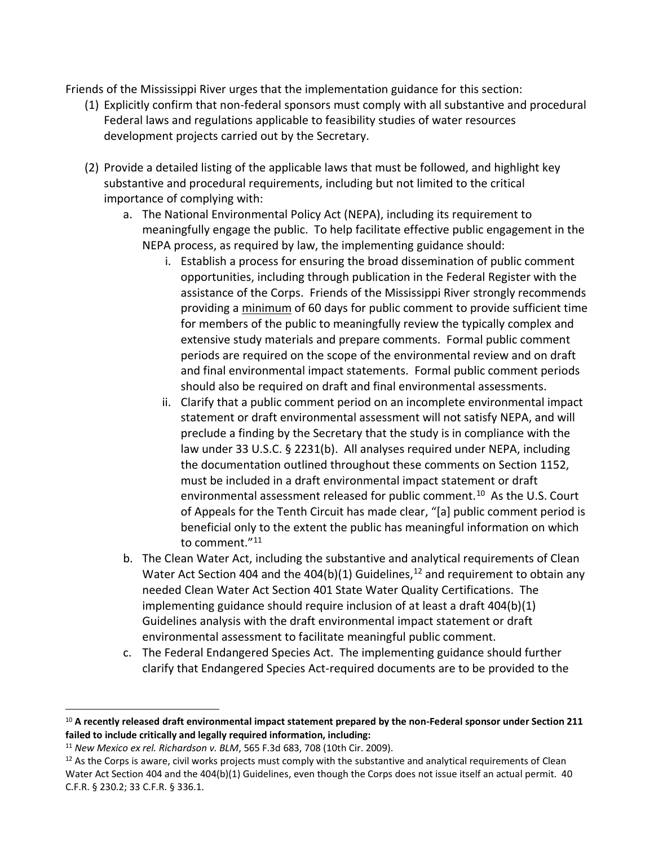Friends of the Mississippi River urges that the implementation guidance for this section:

- (1) Explicitly confirm that non-federal sponsors must comply with all substantive and procedural Federal laws and regulations applicable to feasibility studies of water resources development projects carried out by the Secretary.
- (2) Provide a detailed listing of the applicable laws that must be followed, and highlight key substantive and procedural requirements, including but not limited to the critical importance of complying with:
	- a. The National Environmental Policy Act (NEPA), including its requirement to meaningfully engage the public. To help facilitate effective public engagement in the NEPA process, as required by law, the implementing guidance should:
		- i. Establish a process for ensuring the broad dissemination of public comment opportunities, including through publication in the Federal Register with the assistance of the Corps. Friends of the Mississippi River strongly recommends providing a minimum of 60 days for public comment to provide sufficient time for members of the public to meaningfully review the typically complex and extensive study materials and prepare comments. Formal public comment periods are required on the scope of the environmental review and on draft and final environmental impact statements. Formal public comment periods should also be required on draft and final environmental assessments.
		- ii. Clarify that a public comment period on an incomplete environmental impact statement or draft environmental assessment will not satisfy NEPA, and will preclude a finding by the Secretary that the study is in compliance with the law under 33 U.S.C. § 2231(b). All analyses required under NEPA, including the documentation outlined throughout these comments on Section 1152, must be included in a draft environmental impact statement or draft environmental assessment released for public comment.<sup>10</sup> As the U.S. Court of Appeals for the Tenth Circuit has made clear, "[a] public comment period is beneficial only to the extent the public has meaningful information on which to comment."<sup>11</sup>
	- b. The Clean Water Act, including the substantive and analytical requirements of Clean Water Act Section 404 and the 404(b)(1) Guidelines,<sup>12</sup> and requirement to obtain any needed Clean Water Act Section 401 State Water Quality Certifications. The implementing guidance should require inclusion of at least a draft 404(b)(1) Guidelines analysis with the draft environmental impact statement or draft environmental assessment to facilitate meaningful public comment.
	- c. The Federal Endangered Species Act. The implementing guidance should further clarify that Endangered Species Act-required documents are to be provided to the

l

<sup>10</sup> **A recently released draft environmental impact statement prepared by the non-Federal sponsor under Section 211 failed to include critically and legally required information, including:**

<sup>11</sup> *New Mexico ex rel. Richardson v. BLM*, 565 F.3d 683, 708 (10th Cir. 2009).

 $12$  As the Corps is aware, civil works projects must comply with the substantive and analytical requirements of Clean Water Act Section 404 and the 404(b)(1) Guidelines, even though the Corps does not issue itself an actual permit. 40 C.F.R. § 230.2; 33 C.F.R. § 336.1.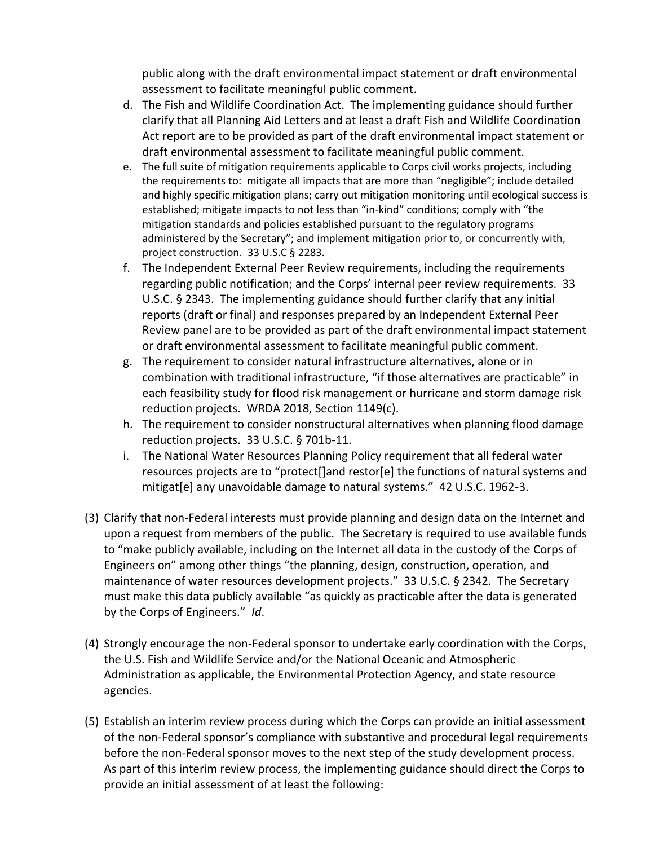public along with the draft environmental impact statement or draft environmental assessment to facilitate meaningful public comment.

- d. The Fish and Wildlife Coordination Act. The implementing guidance should further clarify that all Planning Aid Letters and at least a draft Fish and Wildlife Coordination Act report are to be provided as part of the draft environmental impact statement or draft environmental assessment to facilitate meaningful public comment.
- e. The full suite of mitigation requirements applicable to Corps civil works projects, including the requirements to: mitigate all impacts that are more than "negligible"; include detailed and highly specific mitigation plans; carry out mitigation monitoring until ecological success is established; mitigate impacts to not less than "in-kind" conditions; comply with "the mitigation standards and policies established pursuant to the regulatory programs administered by the Secretary"; and implement mitigation prior to, or concurrently with, project construction. 33 U.S.C § 2283.
- f. The Independent External Peer Review requirements, including the requirements regarding public notification; and the Corps' internal peer review requirements. 33 U.S.C. § 2343. The implementing guidance should further clarify that any initial reports (draft or final) and responses prepared by an Independent External Peer Review panel are to be provided as part of the draft environmental impact statement or draft environmental assessment to facilitate meaningful public comment.
- g. The requirement to consider natural infrastructure alternatives, alone or in combination with traditional infrastructure, "if those alternatives are practicable" in each feasibility study for flood risk management or hurricane and storm damage risk reduction projects. WRDA 2018, Section 1149(c).
- h. The requirement to consider nonstructural alternatives when planning flood damage reduction projects. 33 U.S.C. § 701b-11.
- i. The National Water Resources Planning Policy requirement that all federal water resources projects are to "protect[]and restor[e] the functions of natural systems and mitigat[e] any unavoidable damage to natural systems." 42 U.S.C. 1962-3.
- (3) Clarify that non-Federal interests must provide planning and design data on the Internet and upon a request from members of the public. The Secretary is required to use available funds to "make publicly available, including on the Internet all data in the custody of the Corps of Engineers on" among other things "the planning, design, construction, operation, and maintenance of water resources development projects." 33 U.S.C. § 2342. The Secretary must make this data publicly available "as quickly as practicable after the data is generated by the Corps of Engineers." *Id*.
- (4) Strongly encourage the non-Federal sponsor to undertake early coordination with the Corps, the U.S. Fish and Wildlife Service and/or the National Oceanic and Atmospheric Administration as applicable, the Environmental Protection Agency, and state resource agencies.
- (5) Establish an interim review process during which the Corps can provide an initial assessment of the non-Federal sponsor's compliance with substantive and procedural legal requirements before the non-Federal sponsor moves to the next step of the study development process. As part of this interim review process, the implementing guidance should direct the Corps to provide an initial assessment of at least the following: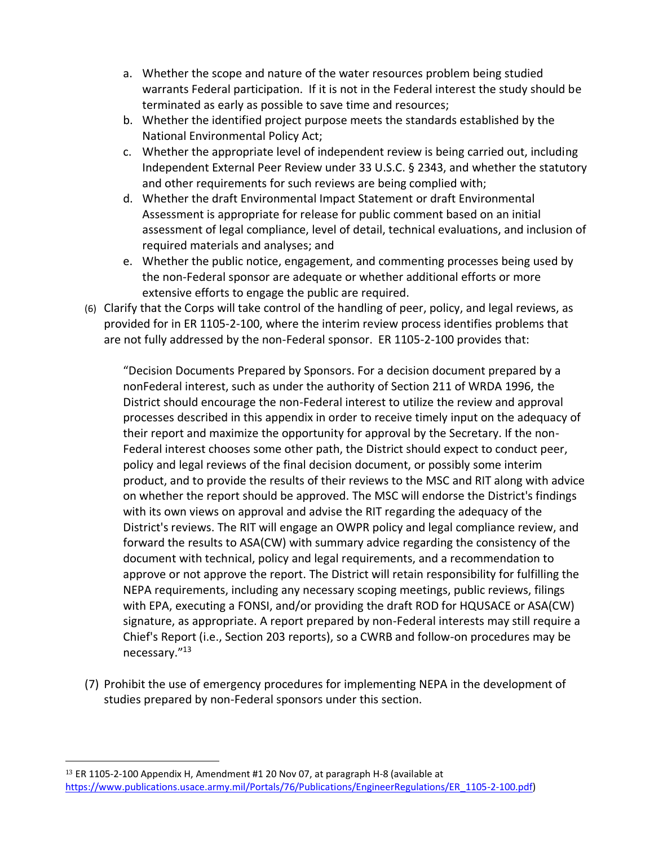- a. Whether the scope and nature of the water resources problem being studied warrants Federal participation. If it is not in the Federal interest the study should be terminated as early as possible to save time and resources;
- b. Whether the identified project purpose meets the standards established by the National Environmental Policy Act;
- c. Whether the appropriate level of independent review is being carried out, including Independent External Peer Review under 33 U.S.C. § 2343, and whether the statutory and other requirements for such reviews are being complied with;
- d. Whether the draft Environmental Impact Statement or draft Environmental Assessment is appropriate for release for public comment based on an initial assessment of legal compliance, level of detail, technical evaluations, and inclusion of required materials and analyses; and
- e. Whether the public notice, engagement, and commenting processes being used by the non-Federal sponsor are adequate or whether additional efforts or more extensive efforts to engage the public are required.
- (6) Clarify that the Corps will take control of the handling of peer, policy, and legal reviews, as provided for in ER 1105-2-100, where the interim review process identifies problems that are not fully addressed by the non-Federal sponsor. ER 1105-2-100 provides that:

"Decision Documents Prepared by Sponsors. For a decision document prepared by a nonFederal interest, such as under the authority of Section 211 of WRDA 1996, the District should encourage the non-Federal interest to utilize the review and approval processes described in this appendix in order to receive timely input on the adequacy of their report and maximize the opportunity for approval by the Secretary. If the non-Federal interest chooses some other path, the District should expect to conduct peer, policy and legal reviews of the final decision document, or possibly some interim product, and to provide the results of their reviews to the MSC and RIT along with advice on whether the report should be approved. The MSC will endorse the District's findings with its own views on approval and advise the RIT regarding the adequacy of the District's reviews. The RIT will engage an OWPR policy and legal compliance review, and forward the results to ASA(CW) with summary advice regarding the consistency of the document with technical, policy and legal requirements, and a recommendation to approve or not approve the report. The District will retain responsibility for fulfilling the NEPA requirements, including any necessary scoping meetings, public reviews, filings with EPA, executing a FONSI, and/or providing the draft ROD for HQUSACE or ASA(CW) signature, as appropriate. A report prepared by non-Federal interests may still require a Chief's Report (i.e., Section 203 reports), so a CWRB and follow-on procedures may be necessary."<sup>13</sup>

(7) Prohibit the use of emergency procedures for implementing NEPA in the development of studies prepared by non-Federal sponsors under this section.

l

<sup>13</sup> ER 1105-2-100 Appendix H, Amendment #1 20 Nov 07, at paragraph H-8 (available at [https://www.publications.usace.army.mil/Portals/76/Publications/EngineerRegulations/ER\\_1105-2-100.pdf\)](https://www.publications.usace.army.mil/Portals/76/Publications/EngineerRegulations/ER_1105-2-100.pdf)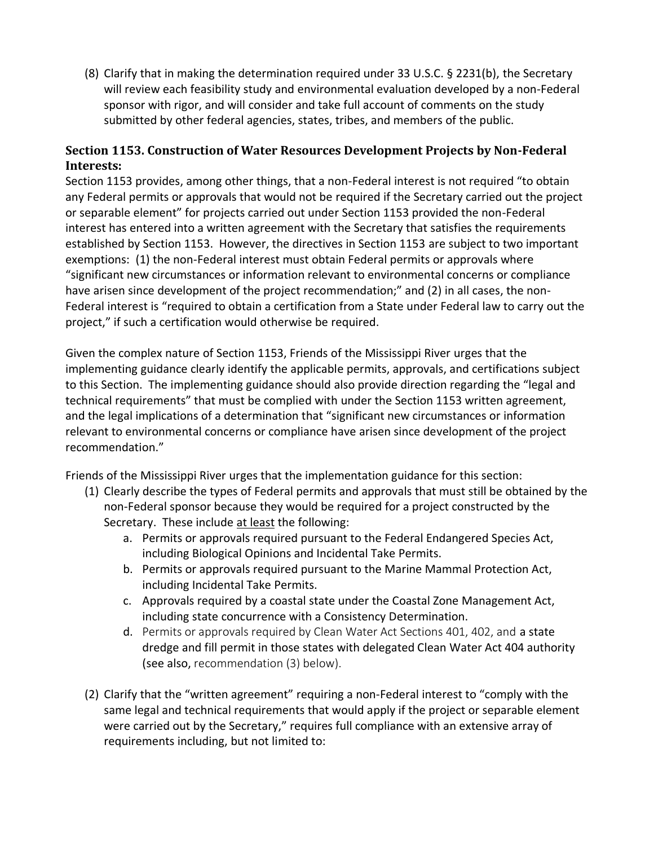(8) Clarify that in making the determination required under 33 U.S.C. § 2231(b), the Secretary will review each feasibility study and environmental evaluation developed by a non-Federal sponsor with rigor, and will consider and take full account of comments on the study submitted by other federal agencies, states, tribes, and members of the public.

## **Section 1153. Construction of Water Resources Development Projects by Non-Federal Interests:**

Section 1153 provides, among other things, that a non-Federal interest is not required "to obtain any Federal permits or approvals that would not be required if the Secretary carried out the project or separable element" for projects carried out under Section 1153 provided the non-Federal interest has entered into a written agreement with the Secretary that satisfies the requirements established by Section 1153. However, the directives in Section 1153 are subject to two important exemptions: (1) the non-Federal interest must obtain Federal permits or approvals where "significant new circumstances or information relevant to environmental concerns or compliance have arisen since development of the project recommendation;" and (2) in all cases, the non-Federal interest is "required to obtain a certification from a State under Federal law to carry out the project," if such a certification would otherwise be required.

Given the complex nature of Section 1153, Friends of the Mississippi River urges that the implementing guidance clearly identify the applicable permits, approvals, and certifications subject to this Section. The implementing guidance should also provide direction regarding the "legal and technical requirements" that must be complied with under the Section 1153 written agreement, and the legal implications of a determination that "significant new circumstances or information relevant to environmental concerns or compliance have arisen since development of the project recommendation."

Friends of the Mississippi River urges that the implementation guidance for this section:

- (1) Clearly describe the types of Federal permits and approvals that must still be obtained by the non-Federal sponsor because they would be required for a project constructed by the Secretary. These include at least the following:
	- a. Permits or approvals required pursuant to the Federal Endangered Species Act, including Biological Opinions and Incidental Take Permits.
	- b. Permits or approvals required pursuant to the Marine Mammal Protection Act, including Incidental Take Permits.
	- c. Approvals required by a coastal state under the Coastal Zone Management Act, including state concurrence with a Consistency Determination.
	- d. Permits or approvals required by Clean Water Act Sections 401, 402, and a state dredge and fill permit in those states with delegated Clean Water Act 404 authority (see also, recommendation (3) below).
- (2) Clarify that the "written agreement" requiring a non-Federal interest to "comply with the same legal and technical requirements that would apply if the project or separable element were carried out by the Secretary," requires full compliance with an extensive array of requirements including, but not limited to: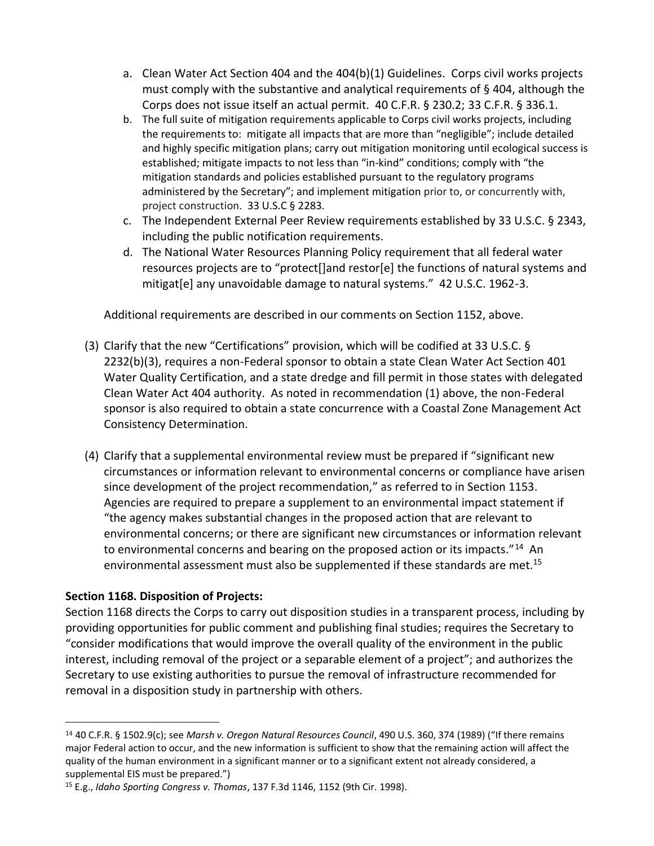- a. Clean Water Act Section 404 and the 404(b)(1) Guidelines. Corps civil works projects must comply with the substantive and analytical requirements of § 404, although the Corps does not issue itself an actual permit. 40 C.F.R. § 230.2; 33 C.F.R. § 336.1.
- b. The full suite of mitigation requirements applicable to Corps civil works projects, including the requirements to: mitigate all impacts that are more than "negligible"; include detailed and highly specific mitigation plans; carry out mitigation monitoring until ecological success is established; mitigate impacts to not less than "in-kind" conditions; comply with "the mitigation standards and policies established pursuant to the regulatory programs administered by the Secretary"; and implement mitigation prior to, or concurrently with, project construction. 33 U.S.C § 2283.
- c. The Independent External Peer Review requirements established by 33 U.S.C. § 2343, including the public notification requirements.
- d. The National Water Resources Planning Policy requirement that all federal water resources projects are to "protect[]and restor[e] the functions of natural systems and mitigat[e] any unavoidable damage to natural systems." 42 U.S.C. 1962-3.

Additional requirements are described in our comments on Section 1152, above.

- (3) Clarify that the new "Certifications" provision, which will be codified at 33 U.S.C. § 2232(b)(3), requires a non-Federal sponsor to obtain a state Clean Water Act Section 401 Water Quality Certification, and a state dredge and fill permit in those states with delegated Clean Water Act 404 authority. As noted in recommendation (1) above, the non-Federal sponsor is also required to obtain a state concurrence with a Coastal Zone Management Act Consistency Determination.
- (4) Clarify that a supplemental environmental review must be prepared if "significant new circumstances or information relevant to environmental concerns or compliance have arisen since development of the project recommendation," as referred to in Section 1153. Agencies are required to prepare a supplement to an environmental impact statement if "the agency makes substantial changes in the proposed action that are relevant to environmental concerns; or there are significant new circumstances or information relevant to environmental concerns and bearing on the proposed action or its impacts."<sup>14</sup> An environmental assessment must also be supplemented if these standards are met.<sup>15</sup>

### **Section 1168. Disposition of Projects:**

 $\overline{\phantom{a}}$ 

Section 1168 directs the Corps to carry out disposition studies in a transparent process, including by providing opportunities for public comment and publishing final studies; requires the Secretary to "consider modifications that would improve the overall quality of the environment in the public interest, including removal of the project or a separable element of a project"; and authorizes the Secretary to use existing authorities to pursue the removal of infrastructure recommended for removal in a disposition study in partnership with others.

<sup>14</sup> 40 C.F.R. § 1502.9(c); see *Marsh v. Oregon Natural Resources Council*, 490 U.S. 360, 374 (1989) ("If there remains major Federal action to occur, and the new information is sufficient to show that the remaining action will affect the quality of the human environment in a significant manner or to a significant extent not already considered, a supplemental EIS must be prepared.")

<sup>15</sup> E.g., *Idaho Sporting Congress v. Thomas*, 137 F.3d 1146, 1152 (9th Cir. 1998).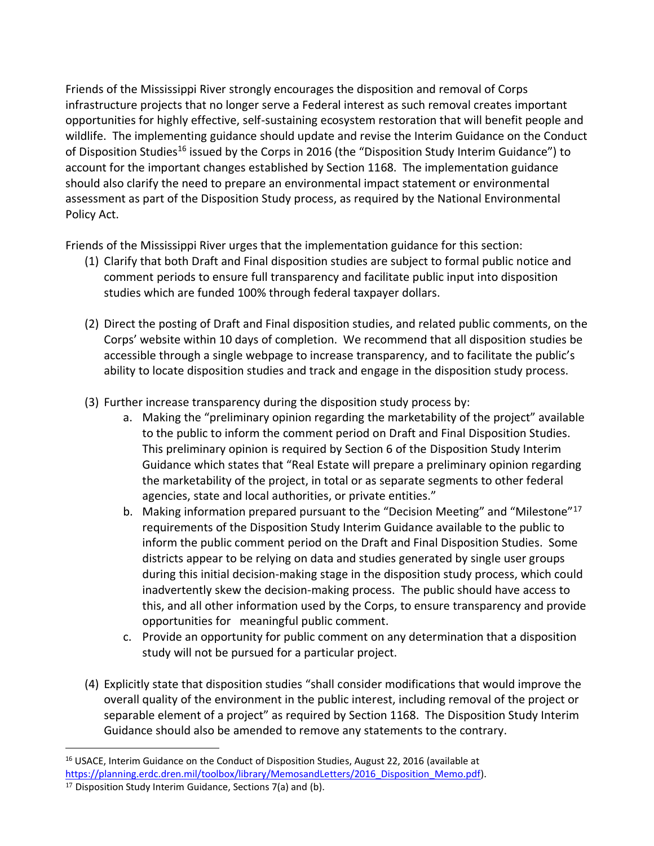Friends of the Mississippi River strongly encourages the disposition and removal of Corps infrastructure projects that no longer serve a Federal interest as such removal creates important opportunities for highly effective, self-sustaining ecosystem restoration that will benefit people and wildlife. The implementing guidance should update and revise the Interim Guidance on the Conduct of Disposition Studies<sup>16</sup> issued by the Corps in 2016 (the "Disposition Study Interim Guidance") to account for the important changes established by Section 1168. The implementation guidance should also clarify the need to prepare an environmental impact statement or environmental assessment as part of the Disposition Study process, as required by the National Environmental Policy Act.

Friends of the Mississippi River urges that the implementation guidance for this section:

- (1) Clarify that both Draft and Final disposition studies are subject to formal public notice and comment periods to ensure full transparency and facilitate public input into disposition studies which are funded 100% through federal taxpayer dollars.
- (2) Direct the posting of Draft and Final disposition studies, and related public comments, on the Corps' website within 10 days of completion. We recommend that all disposition studies be accessible through a single webpage to increase transparency, and to facilitate the public's ability to locate disposition studies and track and engage in the disposition study process.
- (3) Further increase transparency during the disposition study process by:
	- a. Making the "preliminary opinion regarding the marketability of the project" available to the public to inform the comment period on Draft and Final Disposition Studies. This preliminary opinion is required by Section 6 of the Disposition Study Interim Guidance which states that "Real Estate will prepare a preliminary opinion regarding the marketability of the project, in total or as separate segments to other federal agencies, state and local authorities, or private entities."
	- b. Making information prepared pursuant to the "Decision Meeting" and "Milestone"<sup>17</sup> requirements of the Disposition Study Interim Guidance available to the public to inform the public comment period on the Draft and Final Disposition Studies. Some districts appear to be relying on data and studies generated by single user groups during this initial decision-making stage in the disposition study process, which could inadvertently skew the decision-making process. The public should have access to this, and all other information used by the Corps, to ensure transparency and provide opportunities for meaningful public comment.
	- c. Provide an opportunity for public comment on any determination that a disposition study will not be pursued for a particular project.
- (4) Explicitly state that disposition studies "shall consider modifications that would improve the overall quality of the environment in the public interest, including removal of the project or separable element of a project" as required by Section 1168. The Disposition Study Interim Guidance should also be amended to remove any statements to the contrary.

<sup>&</sup>lt;sup>16</sup> USACE, Interim Guidance on the Conduct of Disposition Studies, August 22, 2016 (available at

[https://planning.erdc.dren.mil/toolbox/library/MemosandLetters/2016\\_Disposition\\_Memo.pdf\)](https://planning.erdc.dren.mil/toolbox/library/MemosandLetters/2016_Disposition_Memo.pdf).

<sup>17</sup> Disposition Study Interim Guidance, Sections 7(a) and (b).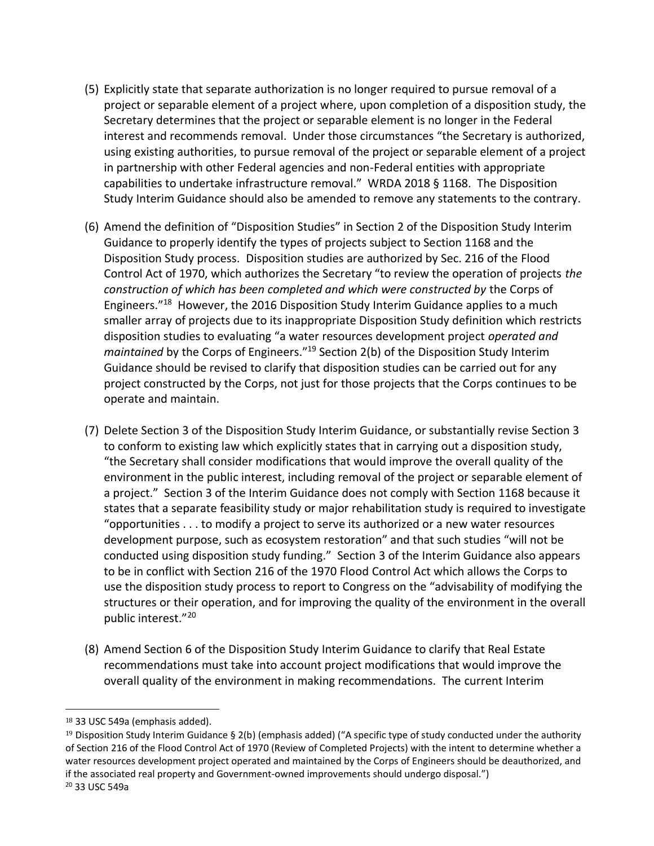- (5) Explicitly state that separate authorization is no longer required to pursue removal of a project or separable element of a project where, upon completion of a disposition study, the Secretary determines that the project or separable element is no longer in the Federal interest and recommends removal. Under those circumstances "the Secretary is authorized, using existing authorities, to pursue removal of the project or separable element of a project in partnership with other Federal agencies and non-Federal entities with appropriate capabilities to undertake infrastructure removal." WRDA 2018 § 1168. The Disposition Study Interim Guidance should also be amended to remove any statements to the contrary.
- (6) Amend the definition of "Disposition Studies" in Section 2 of the Disposition Study Interim Guidance to properly identify the types of projects subject to Section 1168 and the Disposition Study process. Disposition studies are authorized by Sec. 216 of the Flood Control Act of 1970, which authorizes the Secretary "to review the operation of projects *the construction of which has been completed and which were constructed by* the Corps of Engineers."<sup>18</sup> However, the 2016 Disposition Study Interim Guidance applies to a much smaller array of projects due to its inappropriate Disposition Study definition which restricts disposition studies to evaluating "a water resources development project *operated and maintained* by the Corps of Engineers."<sup>19</sup> Section 2(b) of the Disposition Study Interim Guidance should be revised to clarify that disposition studies can be carried out for any project constructed by the Corps, not just for those projects that the Corps continues to be operate and maintain.
- (7) Delete Section 3 of the Disposition Study Interim Guidance, or substantially revise Section 3 to conform to existing law which explicitly states that in carrying out a disposition study, "the Secretary shall consider modifications that would improve the overall quality of the environment in the public interest, including removal of the project or separable element of a project." Section 3 of the Interim Guidance does not comply with Section 1168 because it states that a separate feasibility study or major rehabilitation study is required to investigate "opportunities . . . to modify a project to serve its authorized or a new water resources development purpose, such as ecosystem restoration" and that such studies "will not be conducted using disposition study funding." Section 3 of the Interim Guidance also appears to be in conflict with Section 216 of the 1970 Flood Control Act which allows the Corps to use the disposition study process to report to Congress on the "advisability of modifying the structures or their operation, and for improving the quality of the environment in the overall public interest."<sup>20</sup>
- (8) Amend Section 6 of the Disposition Study Interim Guidance to clarify that Real Estate recommendations must take into account project modifications that would improve the overall quality of the environment in making recommendations. The current Interim

l

<sup>18</sup> 33 USC 549a (emphasis added).

<sup>&</sup>lt;sup>19</sup> Disposition Study Interim Guidance § 2(b) (emphasis added) ("A specific type of study conducted under the authority of Section 216 of the Flood Control Act of 1970 (Review of Completed Projects) with the intent to determine whether a water resources development project operated and maintained by the Corps of Engineers should be deauthorized, and if the associated real property and Government-owned improvements should undergo disposal.") <sup>20</sup> 33 USC 549a